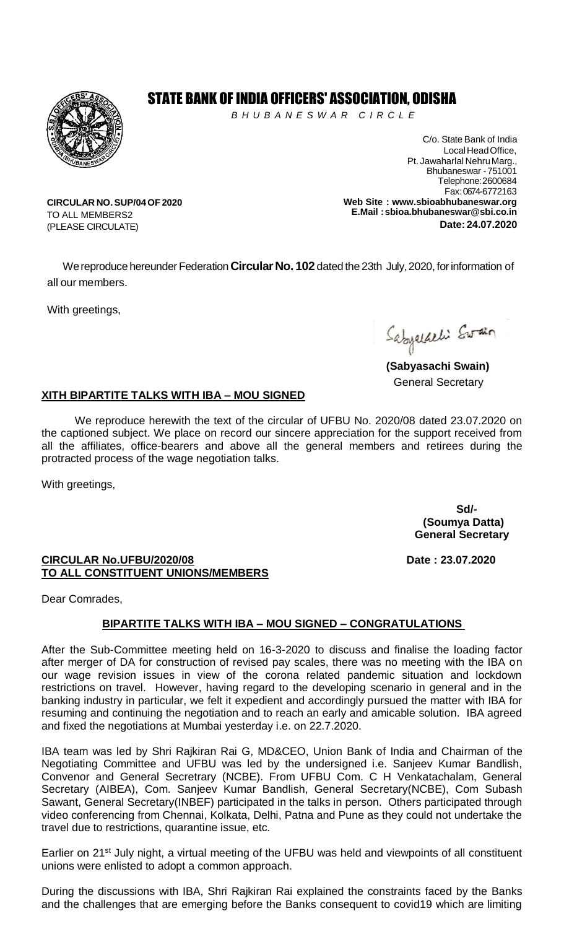

## STATE BANK OF INDIA OFFICERS' ASSOCIATION, ODISHA

*B H U B A N E S W A R C I R C L E* 

C/o. State Bank of India Local Head Office. Pt. Jawaharlal NehruMarg., Bhubaneswar -751001 Telephone:2600684 Fax: 0674-6772163 **Web Site : [www.sbioabhubaneswar.org](http://www.sbioabhubaneswar.org/) E.Mail [:sbioa.bhubaneswar@sbi.co.in](mailto:sbioa.bhubaneswar@sbi.co.in) Date: 24.07.2020**

**CIRCULAR NO.SUP/04OF2020** TO ALL MEMBERS2 (PLEASE CIRCULATE)

We reproduce hereunder Federation Circular No. 102 dated the 23th July, 2020, for information of all our members.

With greetings,

Sabyaldeli Swain

**(Sabyasachi Swain)** General Secretary

## **XITH BIPARTITE TALKS WITH IBA – MOU SIGNED**

We reproduce herewith the text of the circular of UFBU No. 2020/08 dated 23.07.2020 on the captioned subject. We place on record our sincere appreciation for the support received from all the affiliates, office-bearers and above all the general members and retirees during the protracted process of the wage negotiation talks.

With greetings,

**Sd/- (Soumya Datta) General Secretary**

**CIRCULAR No.UFBU/2020/08 Date : 23.07.2020 TO ALL CONSTITUENT UNIONS/MEMBERS**

Dear Comrades,

## **BIPARTITE TALKS WITH IBA – MOU SIGNED – CONGRATULATIONS**

After the Sub-Committee meeting held on 16-3-2020 to discuss and finalise the loading factor after merger of DA for construction of revised pay scales, there was no meeting with the IBA on our wage revision issues in view of the corona related pandemic situation and lockdown restrictions on travel. However, having regard to the developing scenario in general and in the banking industry in particular, we felt it expedient and accordingly pursued the matter with IBA for resuming and continuing the negotiation and to reach an early and amicable solution. IBA agreed and fixed the negotiations at Mumbai yesterday i.e. on 22.7.2020.

IBA team was led by Shri Rajkiran Rai G, MD&CEO, Union Bank of India and Chairman of the Negotiating Committee and UFBU was led by the undersigned i.e. Sanjeev Kumar Bandlish, Convenor and General Secretrary (NCBE). From UFBU Com. C H Venkatachalam, General Secretary (AIBEA), Com. Sanjeev Kumar Bandlish, General Secretary(NCBE), Com Subash Sawant, General Secretary(INBEF) participated in the talks in person. Others participated through video conferencing from Chennai, Kolkata, Delhi, Patna and Pune as they could not undertake the travel due to restrictions, quarantine issue, etc.

Earlier on 21<sup>st</sup> July night, a virtual meeting of the UFBU was held and viewpoints of all constituent unions were enlisted to adopt a common approach.

During the discussions with IBA, Shri Rajkiran Rai explained the constraints faced by the Banks and the challenges that are emerging before the Banks consequent to covid19 which are limiting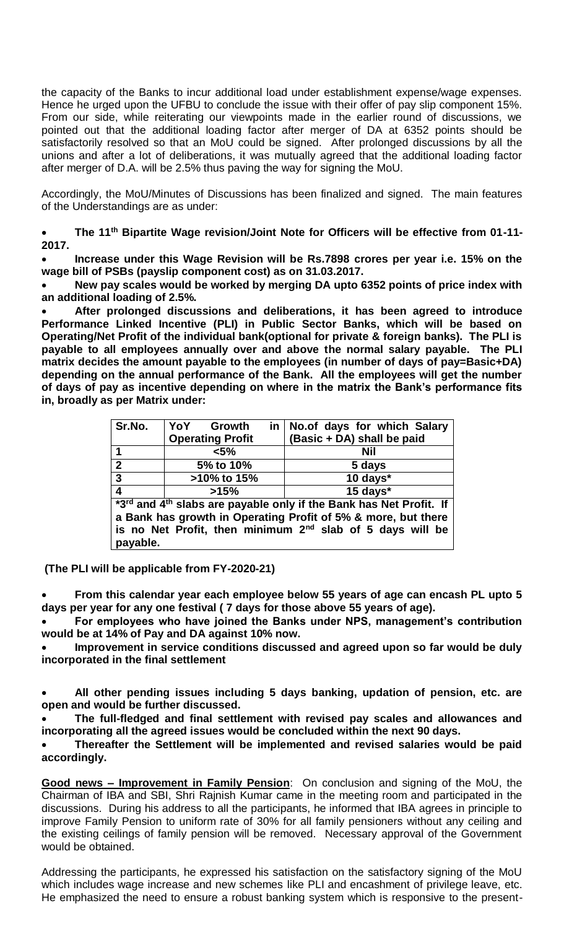the capacity of the Banks to incur additional load under establishment expense/wage expenses. Hence he urged upon the UFBU to conclude the issue with their offer of pay slip component 15%. From our side, while reiterating our viewpoints made in the earlier round of discussions, we pointed out that the additional loading factor after merger of DA at 6352 points should be satisfactorily resolved so that an MoU could be signed. After prolonged discussions by all the unions and after a lot of deliberations, it was mutually agreed that the additional loading factor after merger of D.A. will be 2.5% thus paving the way for signing the MoU.

Accordingly, the MoU/Minutes of Discussions has been finalized and signed. The main features of the Understandings are as under:

 **The 11th Bipartite Wage revision/Joint Note for Officers will be effective from 01-11- 2017.**

 **Increase under this Wage Revision will be Rs.7898 crores per year i.e. 15% on the wage bill of PSBs (payslip component cost) as on 31.03.2017.**

 **New pay scales would be worked by merging DA upto 6352 points of price index with an additional loading of 2.5%.**

 **After prolonged discussions and deliberations, it has been agreed to introduce Performance Linked Incentive (PLI) in Public Sector Banks, which will be based on Operating/Net Profit of the individual bank(optional for private & foreign banks). The PLI is payable to all employees annually over and above the normal salary payable. The PLI matrix decides the amount payable to the employees (in number of days of pay=Basic+DA) depending on the annual performance of the Bank. All the employees will get the number of days of pay as incentive depending on where in the matrix the Bank's performance fits in, broadly as per Matrix under:**

| Sr.No.                                                                            | YoY Growth              | in No.of days for which Salary |
|-----------------------------------------------------------------------------------|-------------------------|--------------------------------|
|                                                                                   | <b>Operating Profit</b> | (Basic + DA) shall be paid     |
|                                                                                   | $< 5\%$                 | Nil                            |
| $\overline{2}$                                                                    | 5% to 10%               | 5 days                         |
| $\mathbf{3}$                                                                      | >10% to 15%             | 10 days*                       |
| $\overline{\mathbf{4}}$                                                           | >15%                    | 15 days*                       |
| *3rd and 4 <sup>th</sup> slabs are payable only if the Bank has Net Profit. If    |                         |                                |
| a Bank has growth in Operating Profit of 5% & more, but there                     |                         |                                |
| is no Net Profit, then minimum 2 <sup>nd</sup> slab of 5 days will be<br>payable. |                         |                                |

**(The PLI will be applicable from FY-2020-21)**

 **From this calendar year each employee below 55 years of age can encash PL upto 5 days per year for any one festival ( 7 days for those above 55 years of age).**

 **For employees who have joined the Banks under NPS, management's contribution would be at 14% of Pay and DA against 10% now.**

 **Improvement in service conditions discussed and agreed upon so far would be duly incorporated in the final settlement**

 **All other pending issues including 5 days banking, updation of pension, etc. are open and would be further discussed.**

 **The full-fledged and final settlement with revised pay scales and allowances and incorporating all the agreed issues would be concluded within the next 90 days.**

 **Thereafter the Settlement will be implemented and revised salaries would be paid accordingly.**

**Good news – Improvement in Family Pension**: On conclusion and signing of the MoU, the Chairman of IBA and SBI, Shri Rajnish Kumar came in the meeting room and participated in the discussions. During his address to all the participants, he informed that IBA agrees in principle to improve Family Pension to uniform rate of 30% for all family pensioners without any ceiling and the existing ceilings of family pension will be removed. Necessary approval of the Government would be obtained.

Addressing the participants, he expressed his satisfaction on the satisfactory signing of the MoU which includes wage increase and new schemes like PLI and encashment of privilege leave, etc. He emphasized the need to ensure a robust banking system which is responsive to the present-